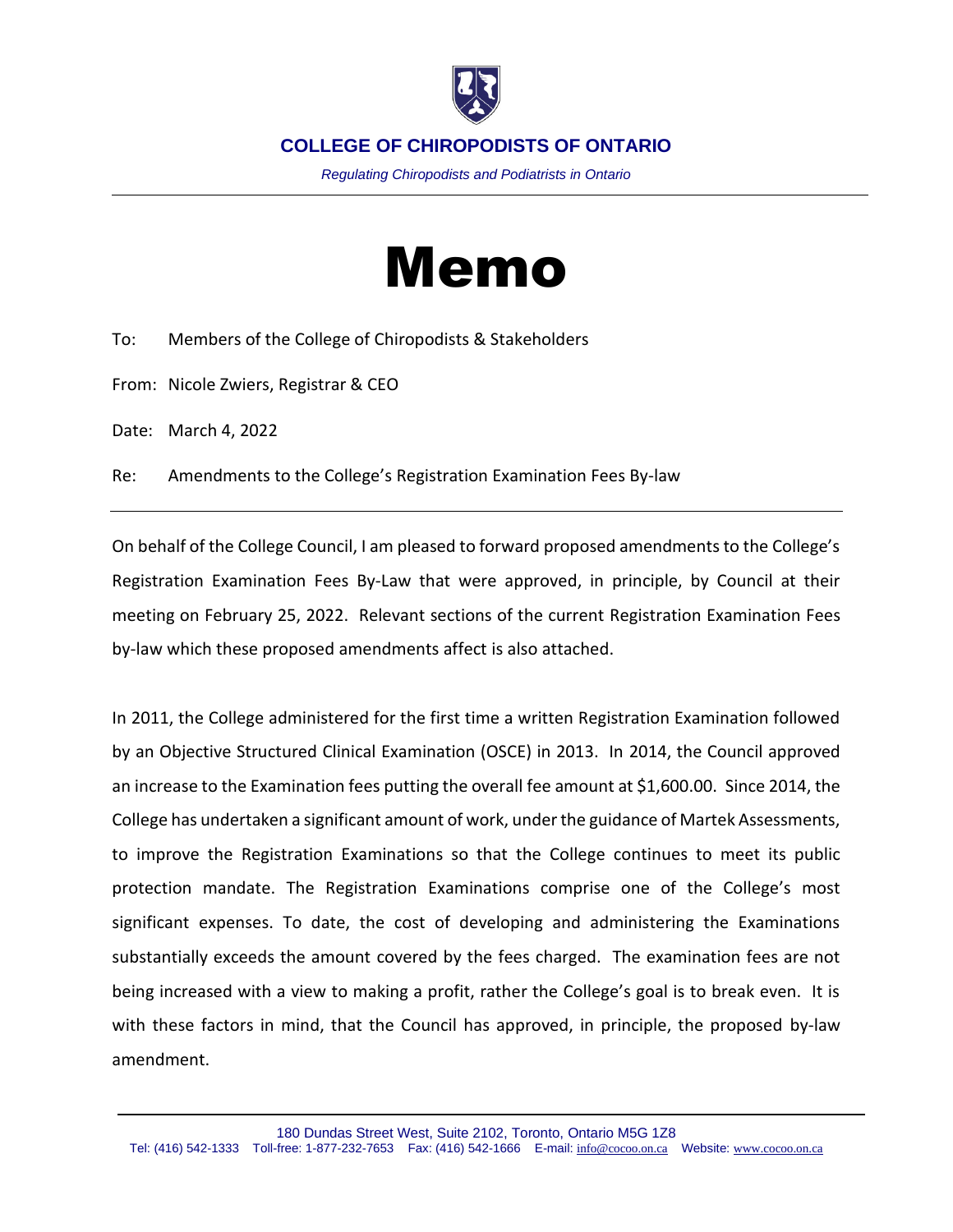

*Regulating Chiropodists and Podiatrists in Ontario*

## Memo

To: Members of the College of Chiropodists & Stakeholders

From: Nicole Zwiers, Registrar & CEO

Date: March 4, 2022

Re: Amendments to the College's Registration Examination Fees By-law

On behalf of the College Council, I am pleased to forward proposed amendments to the College's Registration Examination Fees By-Law that were approved, in principle, by Council at their meeting on February 25, 2022. Relevant sections of the current Registration Examination Fees by-law which these proposed amendments affect is also attached.

In 2011, the College administered for the first time a written Registration Examination followed by an Objective Structured Clinical Examination (OSCE) in 2013. In 2014, the Council approved an increase to the Examination fees putting the overall fee amount at \$1,600.00. Since 2014, the College has undertaken a significant amount of work, under the guidance of Martek Assessments, to improve the Registration Examinations so that the College continues to meet its public protection mandate. The Registration Examinations comprise one of the College's most significant expenses. To date, the cost of developing and administering the Examinations substantially exceeds the amount covered by the fees charged. The examination fees are not being increased with a view to making a profit, rather the College's goal is to break even. It is with these factors in mind, that the Council has approved, in principle, the proposed by-law amendment.